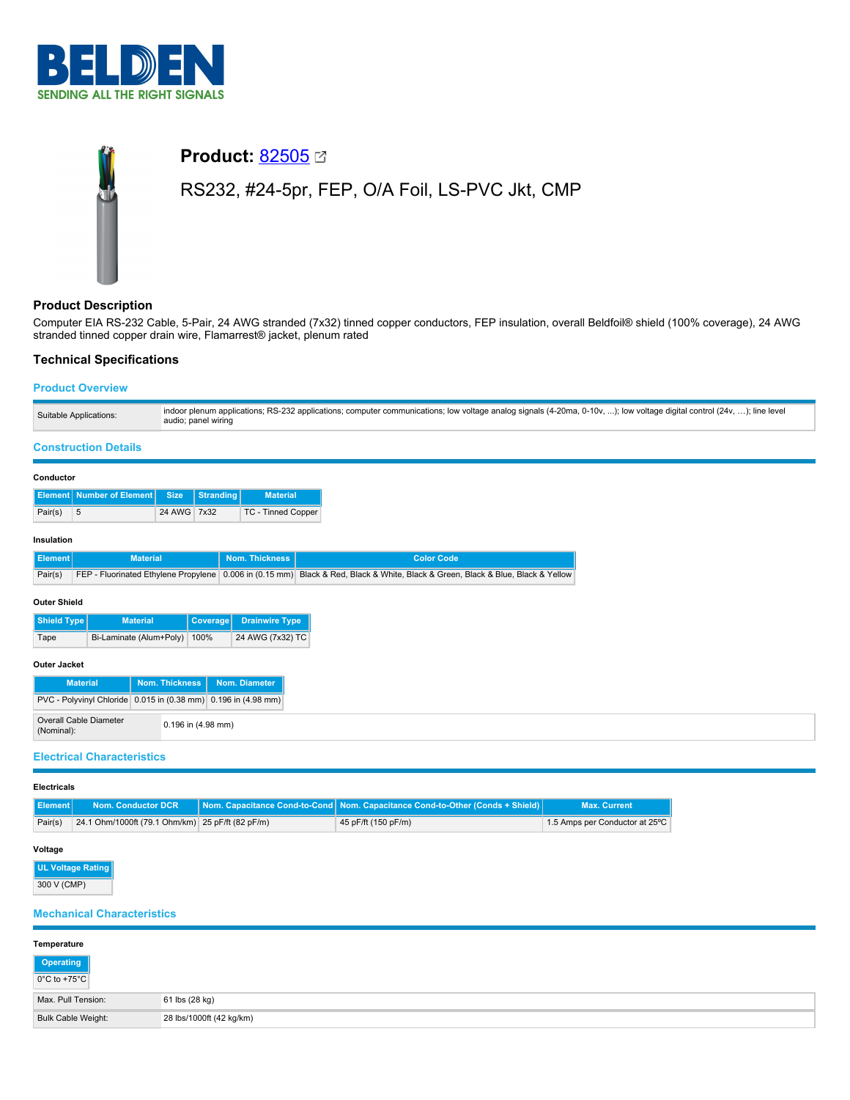

# **Product: [82505](https://catalog.belden.com/index.cfm?event=pd&p=PF_82505&tab=downloads) ⊠** RS232, #24-5pr, FEP, O/A Foil, LS-PVC Jkt, CMP

# **Product Description**

Computer EIA RS-232 Cable, 5-Pair, 24 AWG stranded (7x32) tinned copper conductors, FEP insulation, overall Beldfoil® shield (100% coverage), 24 AWG stranded tinned copper drain wire, Flamarrest® jacket, plenum rated

# **Technical Specifications**

Pair(s) 5 24 AWG 7x32 TC - Tinned Copper

# **Product Overview**

| Suitable Applications:                   | indoor plenum applications; RS-232 applications; computer communications; low voltage analog signals (4-20ma, 0-10v, ); low voltage digital control (24v, ); line level<br>audio; panel wiring |  |                 |  |
|------------------------------------------|------------------------------------------------------------------------------------------------------------------------------------------------------------------------------------------------|--|-----------------|--|
| <b>Construction Details</b>              |                                                                                                                                                                                                |  |                 |  |
| Conductor                                |                                                                                                                                                                                                |  |                 |  |
| Element Number of Element Size Stranding |                                                                                                                                                                                                |  | <b>Material</b> |  |

#### **Insulation**

| Element<br><b>Material</b> |                         |          | Nom. Thickness        | <b>Color Code</b>                                                                                                               |  |  |  |
|----------------------------|-------------------------|----------|-----------------------|---------------------------------------------------------------------------------------------------------------------------------|--|--|--|
| Pair(s)                    |                         |          |                       | FEP - Fluorinated Ethylene Propylene 0.006 in (0.15 mm) Black & Red, Black & White, Black & Green, Black & Blue, Black & Yellow |  |  |  |
|                            | <b>Outer Shield</b>     |          |                       |                                                                                                                                 |  |  |  |
| Shield Type                | <b>Material</b>         | Coverage | <b>Drainwire Type</b> |                                                                                                                                 |  |  |  |
| Tape                       | Bi-Laminate (Alum+Poly) | 100%     | 24 AWG (7x32) TC      |                                                                                                                                 |  |  |  |
| <b>Outer Jacket</b>        |                         |          |                       |                                                                                                                                 |  |  |  |

# **Material Nom. Thickness Nom. Diameter** PVC - Polyvinyl Chloride 0.015 in (0.38 mm) 0.196 in (4.98 mm) Overall Cable Diameter (Nominal): 0.196 in (4.98 mm)

# **Electrical Characteristics**

#### **Electricals**

|         |                                                  | <b>Element   Nom. Conductor DCR   Nom. Capacitance Cond-to-Cond   Nom. Capacitance Cond-to-Other (Conds + Shield)  </b> | <b>Max. Current</b>            |
|---------|--------------------------------------------------|-------------------------------------------------------------------------------------------------------------------------|--------------------------------|
| Pair(s) | 24.1 Ohm/1000ft (79.1 Ohm/km) 25 pF/ft (82 pF/m) | 45 pF/ft (150 pF/m)                                                                                                     | 1.5 Amps per Conductor at 25°C |

#### **Voltage**

| UL Voltage Rating |  |
|-------------------|--|
| 300 V (CMP)       |  |

### **Mechanical Characteristics**

| Temperature                                                                                                       |                          |  |  |
|-------------------------------------------------------------------------------------------------------------------|--------------------------|--|--|
| $\begin{array}{ c c }\n\hline\n\text{Operating} \\ \hline\n0^{\circ}\text{C to +75}^{\circ}\text{C}\n\end{array}$ |                          |  |  |
| Max, Pull Tension:                                                                                                | 61 lbs (28 kg)           |  |  |
| <b>Bulk Cable Weight:</b>                                                                                         | 28 lbs/1000ft (42 kg/km) |  |  |